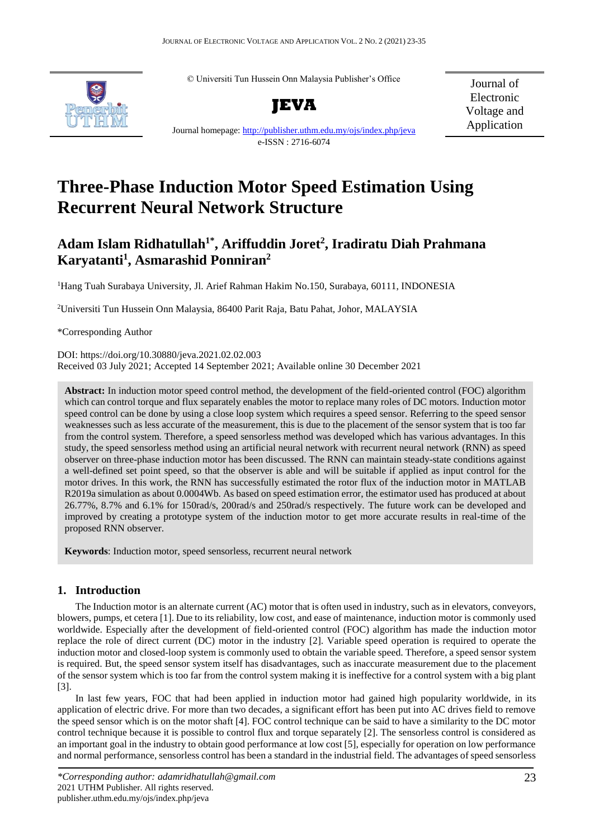© Universiti Tun Hussein Onn Malaysia Publisher's Office



**JEVA**

Journal of Electronic Voltage and Application

Journal homepage[: http://publisher.uthm.edu.my/ojs/index.php/jeva](http://publisher.uthm.edu.my/ojs/index.php/jeva) e-ISSN : 2716-6074

# **Three-Phase Induction Motor Speed Estimation Using Recurrent Neural Network Structure**

# **Adam Islam Ridhatullah1\* , Ariffuddin Joret 2 , Iradiratu Diah Prahmana Karyatanti<sup>1</sup> , Asmarashid Ponniran<sup>2</sup>**

<sup>1</sup>Hang Tuah Surabaya University, Jl. Arief Rahman Hakim No.150, Surabaya, 60111, INDONESIA

<sup>2</sup>Universiti Tun Hussein Onn Malaysia, 86400 Parit Raja, Batu Pahat, Johor, MALAYSIA

\*Corresponding Author

DOI: https://doi.org/10.30880/jeva.2021.02.02.003 Received 03 July 2021; Accepted 14 September 2021; Available online 30 December 2021

**Abstract:** In induction motor speed control method, the development of the field-oriented control (FOC) algorithm which can control torque and flux separately enables the motor to replace many roles of DC motors. Induction motor speed control can be done by using a close loop system which requires a speed sensor. Referring to the speed sensor weaknesses such as less accurate of the measurement, this is due to the placement of the sensor system that is too far from the control system. Therefore, a speed sensorless method was developed which has various advantages. In this study, the speed sensorless method using an artificial neural network with recurrent neural network (RNN) as speed observer on three-phase induction motor has been discussed. The RNN can maintain steady-state conditions against a well-defined set point speed, so that the observer is able and will be suitable if applied as input control for the motor drives. In this work, the RNN has successfully estimated the rotor flux of the induction motor in MATLAB R2019a simulation as about 0.0004Wb. As based on speed estimation error, the estimator used has produced at about 26.77%, 8.7% and 6.1% for 150rad/s, 200rad/s and 250rad/s respectively. The future work can be developed and improved by creating a prototype system of the induction motor to get more accurate results in real-time of the proposed RNN observer.

**Keywords**: Induction motor, speed sensorless, recurrent neural network

# **Keywords:** Keywords: Keywords: Keywords: Keywords: Keywords is usually 3-7, but more is allowed if deemed necessary

The Induction motor is an alternate current (AC) motor that is often used in industry, such as in elevators, conveyors, blowers, pumps, et cetera [1]. Due to its reliability, low cost, and ease of maintenance, induction motor is commonly used worldwide. Especially after the development of field-oriented control (FOC) algorithm has made the induction motor replace the role of direct current (DC) motor in the industry [2]. Variable speed operation is required to operate the induction motor and closed-loop system is commonly used to obtain the variable speed. Therefore, a speed sensor system is required. But, the speed sensor system itself has disadvantages, such as inaccurate measurement due to the placement of the sensor system which is too far from the control system making it is ineffective for a control system with a big plant [3].

In last few years, FOC that had been applied in induction motor had gained high popularity worldwide, in its application of electric drive. For more than two decades, a significant effort has been put into AC drives field to remove the speed sensor which is on the motor shaft [4]. FOC control technique can be said to have a similarity to the DC motor control technique because it is possible to control flux and torque separately [2]. The sensorless control is considered as an important goal in the industry to obtain good performance at low cost [5], especially for operation on low performance and normal performance, sensorless control has been a standard in the industrial field. The advantages of speed sensorless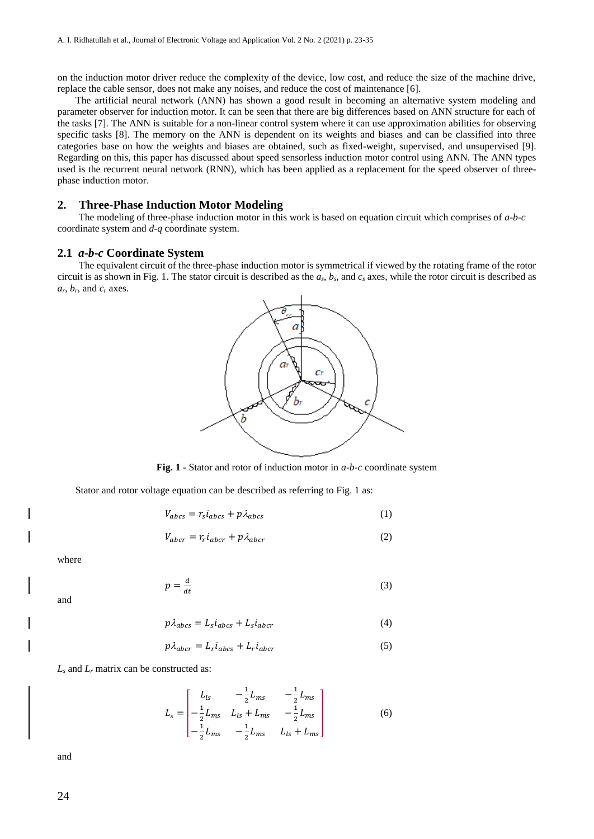on the induction motor driver reduce the complexity of the device, low cost, and reduce the size of the machine drive, replace the cable sensor, does not make any noises, and reduce the cost of maintenance [6].

The artificial neural network (ANN) has shown a good result in becoming an alternative system modeling and parameter observer for induction motor. It can be seen that there are big differences based on ANN structure for each of the tasks [7]. The ANN is suitable for a non-linear control system where it can use approximation abilities for observing specific tasks [8]. The memory on the ANN is dependent on its weights and biases and can be classified into three categories base on how the weights and biases are obtained, such as fixed-weight, supervised, and unsupervised [9]. Regarding on this, this paper has discussed about speed sensorless induction motor control using ANN. The ANN types used is the recurrent neural network (RNN), which has been applied as a replacement for the speed observer of threephase induction motor.

### **2. Three-Phase Induction Motor Modeling**

The modeling of three-phase induction motor in this work is based on equation circuit which comprises of *a*-*b*-*c* coordinate system and *d*-*q* coordinate system.

#### **2.1** *a***-***b***-***c* **Coordinate System**

The equivalent circuit of the three-phase induction motor is symmetrical if viewed by the rotating frame of the rotor circuit is as shown in Fig. 1. The stator circuit is described as the *as*, *bs*, and *c<sup>s</sup>* axes, while the rotor circuit is described as  $a_r$ ,  $b_r$ , and  $c_r$  axes.



**Fig. 1 -** Stator and rotor of induction motor in *a*-*b*-*c* coordinate system

Stator and rotor voltage equation can be described as referring to Fig. 1 as:

$$
V_{abcs} = r_s i_{abcs} + p \lambda_{abcs}
$$
 (1)

$$
V_{abcr} = r_r i_{abcr} + p \lambda_{abcr} \tag{2}
$$

where

$$
p = \frac{d}{dt} \tag{3}
$$

and

$$
p\lambda_{abcs} = L_s i_{abcs} + L_s i_{abcr} \tag{4}
$$

$$
p\lambda_{abcr} = L_r i_{abcs} + L_r i_{abcr} \tag{5}
$$

*L<sup>s</sup>* and *L<sup>r</sup>* matrix can be constructed as:

$$
L_{s} = \begin{bmatrix} L_{ls} & -\frac{1}{2}L_{ms} & -\frac{1}{2}L_{ms} \\ -\frac{1}{2}L_{ms} & L_{ls} + L_{ms} & -\frac{1}{2}L_{ms} \\ -\frac{1}{2}L_{ms} & -\frac{1}{2}L_{ms} & L_{ls} + L_{ms} \end{bmatrix}
$$
(6)

and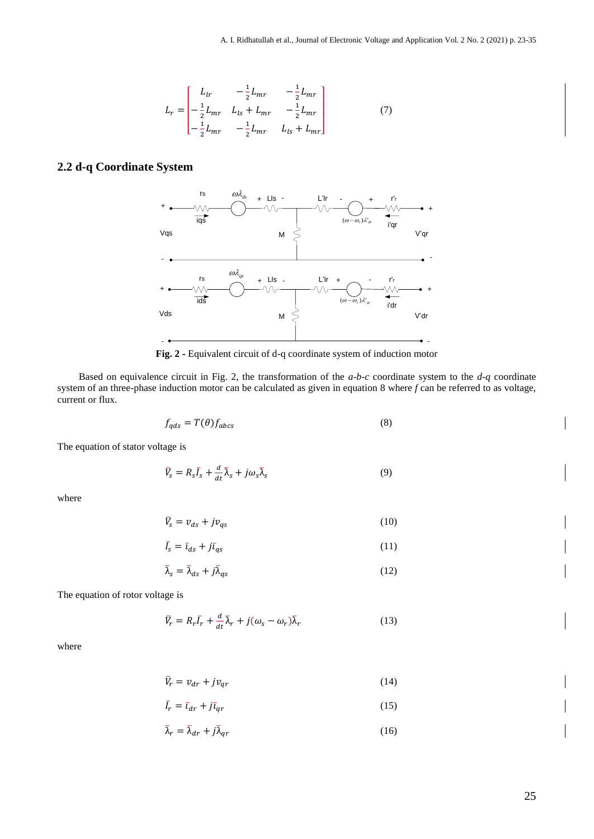$$
L_r = \begin{bmatrix} L_{lr} & -\frac{1}{2}L_{mr} & -\frac{1}{2}L_{mr} \\ -\frac{1}{2}L_{mr} & L_{ls} + L_{mr} & -\frac{1}{2}L_{mr} \\ -\frac{1}{2}L_{mr} & -\frac{1}{2}L_{mr} & L_{ls} + L_{mr} \end{bmatrix}
$$
(7)

# **2.2 d-q Coordinate System**



**Fig. 2 -** Equivalent circuit of d-q coordinate system of induction motor

Based on equivalence circuit in Fig. 2, the transformation of the  $a-b-c$  coordinate system to the  $d-q$  coordinate system of an three-phase induction motor can be calculated as given in equation 8 where *f* can be referred to as voltage, current or flux.

$$
f_{qds} = T(\theta) f_{abcs} \tag{8}
$$

The equation of stator voltage is

$$
\bar{V}_s = R_s \bar{I}_s + \frac{d}{dt} \bar{\lambda}_s + j \omega_s \bar{\lambda}_s \tag{9}
$$

where

$$
\bar{V}_s = v_{ds} + jv_{qs} \tag{10}
$$

$$
\bar{I}_s = \bar{t}_{ds} + j\bar{t}_{qs} \tag{11}
$$

$$
\bar{\lambda}_s = \bar{\lambda}_{ds} + j\bar{\lambda}_{qs} \tag{12}
$$

The equation of rotor voltage is

$$
\bar{V}_r = R_r \bar{I}_r + \frac{d}{dt} \bar{\lambda}_r + j(\omega_s - \omega_r) \bar{\lambda}_r
$$
\n(13)

where

$$
\bar{V}_r = v_{dr} + jv_{qr} \tag{14}
$$

$$
\bar{I}_r = \bar{t}_{dr} + j\bar{t}_{qr} \tag{15}
$$

$$
\bar{\lambda}_r = \bar{\lambda}_{dr} + j\bar{\lambda}_{qr} \tag{16}
$$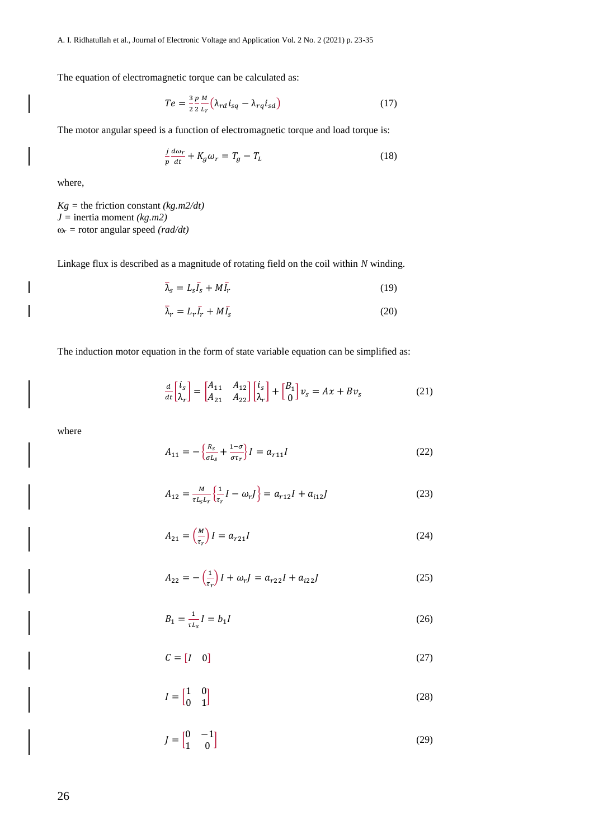The equation of electromagnetic torque can be calculated as:

$$
Te = \frac{3}{2} \frac{p}{2} \frac{M}{L_r} \left( \lambda_{rd} i_{sq} - \lambda_{rq} i_{sd} \right)
$$
 (17)

The motor angular speed is a function of electromagnetic torque and load torque is:

$$
\frac{j}{p}\frac{d\omega_r}{dt} + K_g \omega_r = T_g - T_L \tag{18}
$$

where,

 $Kg =$  the friction constant *(kg.m2/dt)*  $J =$  inertia moment *(kg.m2)*  $\omega_r$  = rotor angular speed *(rad/dt)* 

Linkage flux is described as a magnitude of rotating field on the coil within *N* winding.

$$
\bar{\lambda}_s = L_s \bar{I}_s + M \bar{I}_r \tag{19}
$$

$$
\bar{\lambda}_r = L_r \bar{I}_r + M \bar{I}_s \tag{20}
$$

The induction motor equation in the form of state variable equation can be simplified as:

$$
\frac{d}{dt}\begin{bmatrix} i_s \\ \lambda_r \end{bmatrix} = \begin{bmatrix} A_{11} & A_{12} \\ A_{21} & A_{22} \end{bmatrix} \begin{bmatrix} i_s \\ \lambda_r \end{bmatrix} + \begin{bmatrix} B_1 \\ 0 \end{bmatrix} v_s = Ax + Bv_s \tag{21}
$$

where

$$
A_{11} = -\left\{ \frac{R_S}{\sigma L_S} + \frac{1 - \sigma}{\sigma \tau_r} \right\} I = a_{r11} I
$$
 (22)

$$
A_{12} = \frac{M}{\tau L_s L_r} \left\{ \frac{1}{\tau_r} I - \omega_r J \right\} = a_{r12} I + a_{i12} J \tag{23}
$$

$$
A_{21} = \left(\frac{M}{\tau_r}\right)I = a_{r21}I\tag{24}
$$

$$
A_{22} = -\left(\frac{1}{\tau_r}\right)I + \omega_r J = a_{r22}I + a_{i22}J
$$
 (25)

$$
B_1 = \frac{1}{\tau L_s} I = b_1 I \tag{26}
$$

$$
C = \begin{bmatrix} I & 0 \end{bmatrix} \tag{27}
$$

$$
I = \begin{bmatrix} 1 & 0 \\ 0 & 1 \end{bmatrix} \tag{28}
$$

$$
J = \begin{bmatrix} 0 & -1 \\ 1 & 0 \end{bmatrix} \tag{29}
$$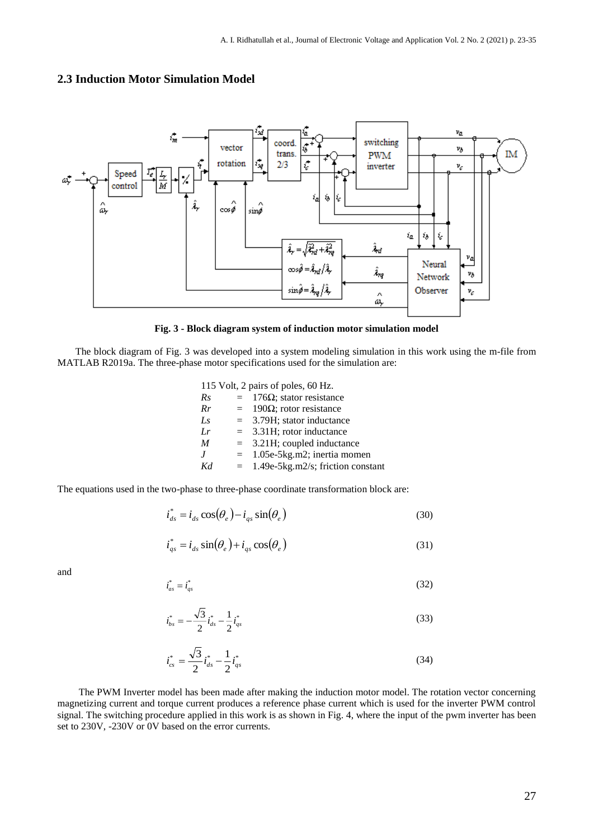

## **2.3 Induction Motor Simulation Model**



The block diagram of Fig. 3 was developed into a system modeling simulation in this work using the m-file from MATLAB R2019a. The three-phase motor specifications used for the simulation are:

| 115 Volt, 2 pairs of poles, 60 Hz. |     |                                        |  |  |  |  |
|------------------------------------|-----|----------------------------------------|--|--|--|--|
| Rs                                 | $=$ | $176Ω$ ; stator resistance             |  |  |  |  |
| Rr                                 | $=$ | 190Ω; rotor resistance                 |  |  |  |  |
| $L_{S}$                            | $=$ | 3.79H; stator inductance               |  |  |  |  |
| I.r                                | $=$ | 3.31H; rotor inductance                |  |  |  |  |
| M                                  | $=$ | 3.21H; coupled inductance              |  |  |  |  |
| $\boldsymbol{I}$                   | $=$ | 1.05e-5kg.m2; inertia momen            |  |  |  |  |
| Kd                                 |     | $= 1.49e-5kg.m2/s$ ; friction constant |  |  |  |  |
|                                    |     |                                        |  |  |  |  |

The equations used in the two-phase to three-phase coordinate transformation block are:

$$
\dot{i}_{ds}^* = i_{ds} \cos(\theta_e) - i_{qs} \sin(\theta_e)
$$
\n(30)

$$
i_{qs}^* = i_{ds} \sin(\theta_e) + i_{qs} \cos(\theta_e)
$$
 (31)

and

$$
\dot{i}_{as}^* = \dot{i}_{qs}^* \tag{32}
$$

$$
i_{bs}^* = -\frac{\sqrt{3}}{2} i_{ds}^* - \frac{1}{2} i_{qs}^*
$$
 (33)

$$
i_{cs}^* = \frac{\sqrt{3}}{2} i_{ds}^* - \frac{1}{2} i_{qs}^*
$$
 (34)

The PWM Inverter model has been made after making the induction motor model. The rotation vector concerning magnetizing current and torque current produces a reference phase current which is used for the inverter PWM control signal. The switching procedure applied in this work is as shown in Fig. 4, where the input of the pwm inverter has been set to 230V, -230V or 0V based on the error currents.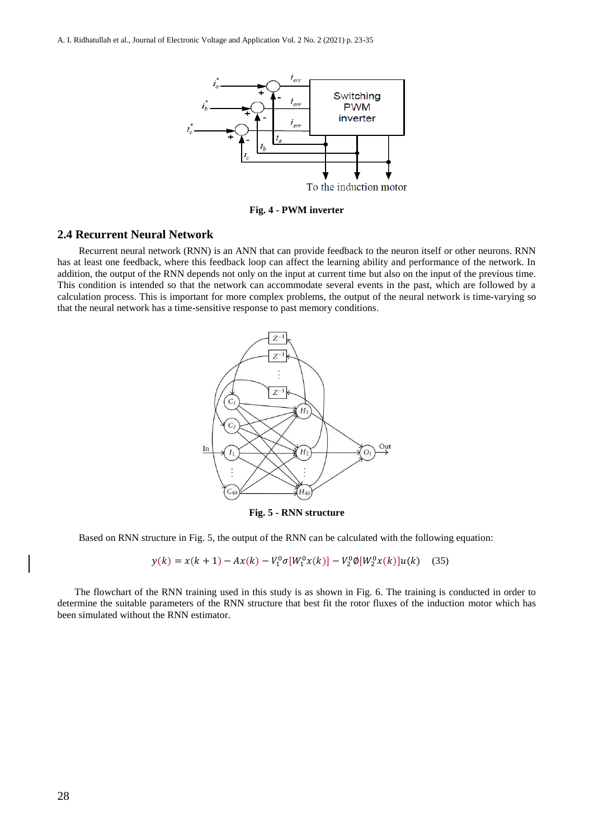

**Fig. 4 - PWM inverter**

### **2.4 Recurrent Neural Network**

Recurrent neural network (RNN) is an ANN that can provide feedback to the neuron itself or other neurons. RNN has at least one feedback, where this feedback loop can affect the learning ability and performance of the network. In addition, the output of the RNN depends not only on the input at current time but also on the input of the previous time. This condition is intended so that the network can accommodate several events in the past, which are followed by a calculation process. This is important for more complex problems, the output of the neural network is time-varying so that the neural network has a time-sensitive response to past memory conditions.



**Fig. 5 - RNN structure**

Based on RNN structure in Fig. 5, the output of the RNN can be calculated with the following equation:

 $y(k) = x(k + 1) - Ax(k) - V_1^0 \sigma[W_1^0 x(k)] - V_2^0 \phi[W_2^0 x(k)]u(k)$  (35)

The flowchart of the RNN training used in this study is as shown in Fig. 6. The training is conducted in order to determine the suitable parameters of the RNN structure that best fit the rotor fluxes of the induction motor which has been simulated without the RNN estimator.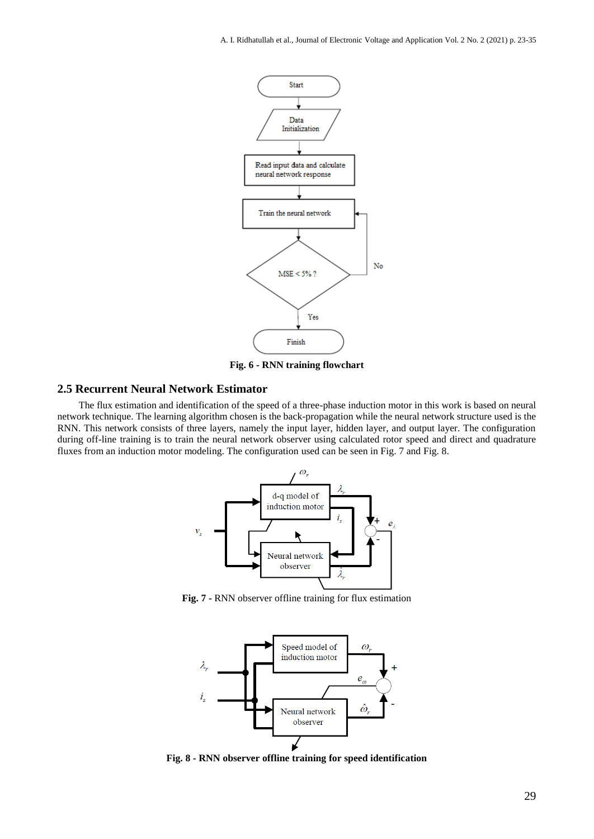

**Fig. 6 - RNN training flowchart**

# **2.5 Recurrent Neural Network Estimator**

The flux estimation and identification of the speed of a three-phase induction motor in this work is based on neural network technique. The learning algorithm chosen is the back-propagation while the neural network structure used is the RNN. This network consists of three layers, namely the input layer, hidden layer, and output layer. The configuration during off-line training is to train the neural network observer using calculated rotor speed and direct and quadrature fluxes from an induction motor modeling. The configuration used can be seen in Fig. 7 and Fig. 8.



**Fig. 7 -** RNN observer offline training for flux estimation



**Fig. 8 - RNN observer offline training for speed identification**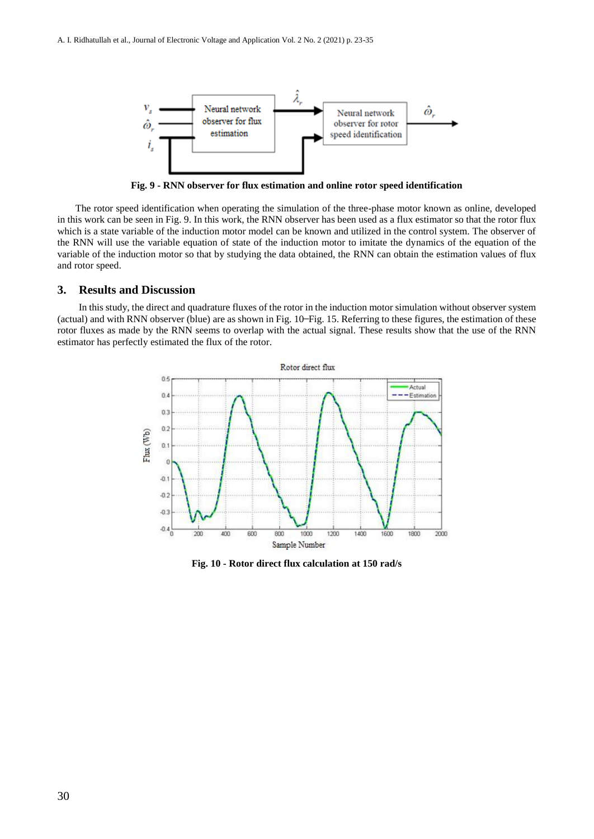

**Fig. 9 - RNN observer for flux estimation and online rotor speed identification**

The rotor speed identification when operating the simulation of the three-phase motor known as online, developed in this work can be seen in Fig. 9. In this work, the RNN observer has been used as a flux estimator so that the rotor flux which is a state variable of the induction motor model can be known and utilized in the control system. The observer of the RNN will use the variable equation of state of the induction motor to imitate the dynamics of the equation of the variable of the induction motor so that by studying the data obtained, the RNN can obtain the estimation values of flux and rotor speed.

### **3. Results and Discussion**

In this study, the direct and quadrature fluxes of the rotor in the induction motor simulation without observer system (actual) and with RNN observer (blue) are as shown in Fig. 10 ̶Fig. 15. Referring to these figures, the estimation of these rotor fluxes as made by the RNN seems to overlap with the actual signal. These results show that the use of the RNN estimator has perfectly estimated the flux of the rotor.



**Fig. 10 - Rotor direct flux calculation at 150 rad/s**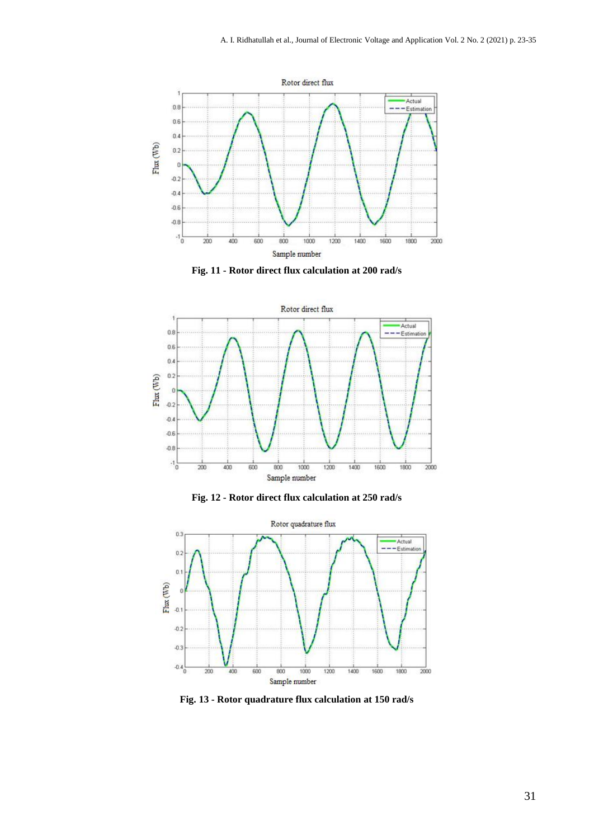

**Fig. 11 - Rotor direct flux calculation at 200 rad/s**



**Fig. 12 - Rotor direct flux calculation at 250 rad/s**



**Fig. 13 - Rotor quadrature flux calculation at 150 rad/s**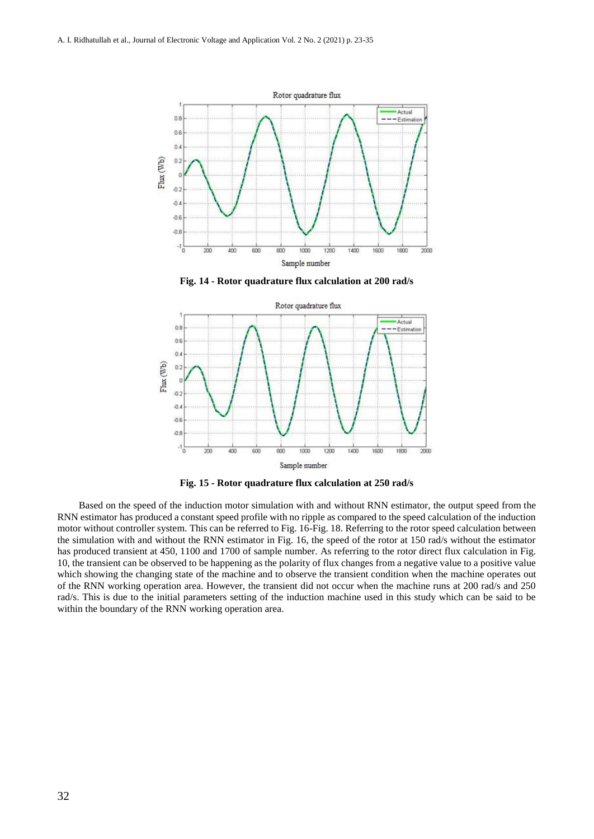

**Fig. 14 - Rotor quadrature flux calculation at 200 rad/s**



**Fig. 15 - Rotor quadrature flux calculation at 250 rad/s**

Based on the speed of the induction motor simulation with and without RNN estimator, the output speed from the RNN estimator has produced a constant speed profile with no ripple as compared to the speed calculation of the induction motor without controller system. This can be referred to Fig. 16-Fig. 18. Referring to the rotor speed calculation between the simulation with and without the RNN estimator in Fig. 16, the speed of the rotor at 150 rad/s without the estimator has produced transient at 450, 1100 and 1700 of sample number. As referring to the rotor direct flux calculation in Fig. 10, the transient can be observed to be happening as the polarity of flux changes from a negative value to a positive value which showing the changing state of the machine and to observe the transient condition when the machine operates out of the RNN working operation area. However, the transient did not occur when the machine runs at 200 rad/s and 250 rad/s. This is due to the initial parameters setting of the induction machine used in this study which can be said to be within the boundary of the RNN working operation area.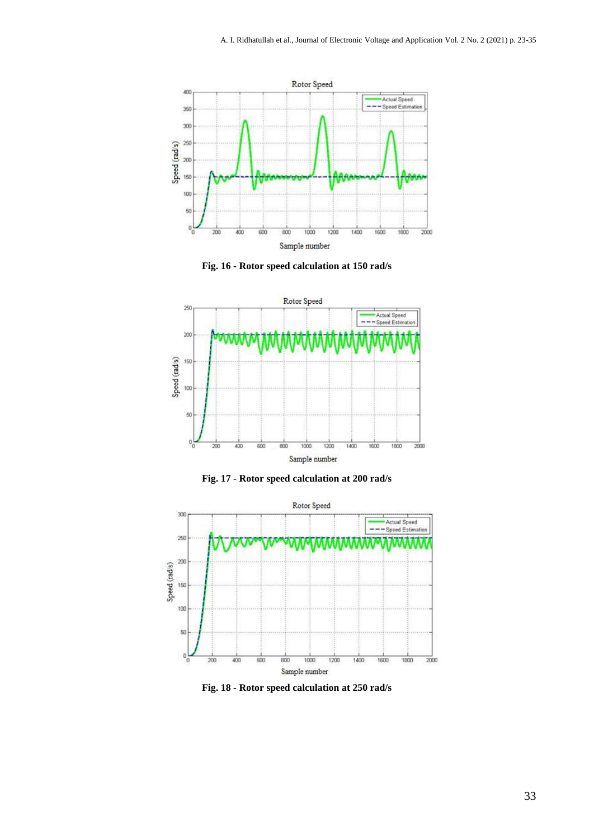

**Fig. 16 - Rotor speed calculation at 150 rad/s**







**Fig. 18 - Rotor speed calculation at 250 rad/s**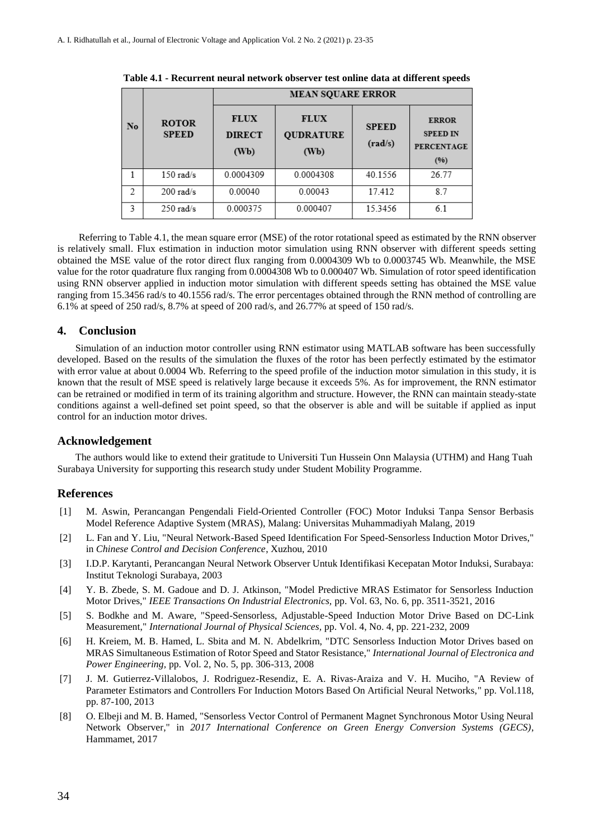|                | <b>ROTOR</b><br><b>SPEED</b> | <b>MEAN SOUARE ERROR</b>             |                                         |                         |                                                              |  |
|----------------|------------------------------|--------------------------------------|-----------------------------------------|-------------------------|--------------------------------------------------------------|--|
| No             |                              | <b>FLUX</b><br><b>DIRECT</b><br>(Wb) | <b>FLUX</b><br><b>QUDRATURE</b><br>(Wb) | <b>SPEED</b><br>(rad/s) | <b>ERROR</b><br><b>SPEED IN</b><br><b>PERCENTAGE</b><br>(96) |  |
|                | $150$ rad/s                  | 0.0004309                            | 0.0004308                               | 40.1556                 | 26.77                                                        |  |
| $\overline{2}$ | $200$ rad/s                  | 0.00040                              | 0.00043                                 | 17.412                  | 87                                                           |  |
| 3              | $250$ rad/s                  | 0.000375                             | 0.000407                                | 15.3456                 | 6.1                                                          |  |

**Table 4.1 - Recurrent neural network observer test online data at different speeds**

Referring to Table 4.1, the mean square error (MSE) of the rotor rotational speed as estimated by the RNN observer is relatively small. Flux estimation in induction motor simulation using RNN observer with different speeds setting obtained the MSE value of the rotor direct flux ranging from 0.0004309 Wb to 0.0003745 Wb. Meanwhile, the MSE value for the rotor quadrature flux ranging from 0.0004308 Wb to 0.000407 Wb. Simulation of rotor speed identification using RNN observer applied in induction motor simulation with different speeds setting has obtained the MSE value ranging from 15.3456 rad/s to 40.1556 rad/s. The error percentages obtained through the RNN method of controlling are 6.1% at speed of 250 rad/s, 8.7% at speed of 200 rad/s, and 26.77% at speed of 150 rad/s.

### **4. Conclusion**

Simulation of an induction motor controller using RNN estimator using MATLAB software has been successfully developed. Based on the results of the simulation the fluxes of the rotor has been perfectly estimated by the estimator with error value at about 0.0004 Wb. Referring to the speed profile of the induction motor simulation in this study, it is known that the result of MSE speed is relatively large because it exceeds 5%. As for improvement, the RNN estimator can be retrained or modified in term of its training algorithm and structure. However, the RNN can maintain steady-state conditions against a well-defined set point speed, so that the observer is able and will be suitable if applied as input control for an induction motor drives.

#### **Acknowledgement**

The authors would like to extend their gratitude to Universiti Tun Hussein Onn Malaysia (UTHM) and Hang Tuah Surabaya University for supporting this research study under Student Mobility Programme.

#### **References**

- [1] M. Aswin, Perancangan Pengendali Field-Oriented Controller (FOC) Motor Induksi Tanpa Sensor Berbasis Model Reference Adaptive System (MRAS), Malang: Universitas Muhammadiyah Malang, 2019
- [2] L. Fan and Y. Liu, "Neural Network-Based Speed Identification For Speed-Sensorless Induction Motor Drives," in *Chinese Control and Decision Conference*, Xuzhou, 2010
- [3] I.D.P. Karytanti, Perancangan Neural Network Observer Untuk Identifikasi Kecepatan Motor Induksi, Surabaya: Institut Teknologi Surabaya, 2003
- [4] Y. B. Zbede, S. M. Gadoue and D. J. Atkinson, "Model Predictive MRAS Estimator for Sensorless Induction Motor Drives," *IEEE Transactions On Industrial Electronics,* pp. Vol. 63, No. 6, pp. 3511-3521, 2016
- [5] S. Bodkhe and M. Aware, "Speed-Sensorless, Adjustable-Speed Induction Motor Drive Based on DC-Link Measurement," *International Journal of Physical Sciences,* pp. Vol. 4, No. 4, pp. 221-232, 2009
- [6] H. Kreiem, M. B. Hamed, L. Sbita and M. N. Abdelkrim, "DTC Sensorless Induction Motor Drives based on MRAS Simultaneous Estimation of Rotor Speed and Stator Resistance," *International Journal of Electronica and Power Engineering,* pp. Vol. 2, No. 5, pp. 306-313, 2008
- [7] J. M. Gutierrez-Villalobos, J. Rodriguez-Resendiz, E. A. Rivas-Araiza and V. H. Muciho, "A Review of Parameter Estimators and Controllers For Induction Motors Based On Artificial Neural Networks," pp. Vol.118, pp. 87-100, 2013
- [8] O. Elbeji and M. B. Hamed, "Sensorless Vector Control of Permanent Magnet Synchronous Motor Using Neural Network Observer," in *2017 International Conference on Green Energy Conversion Systems (GECS)*, Hammamet, 2017